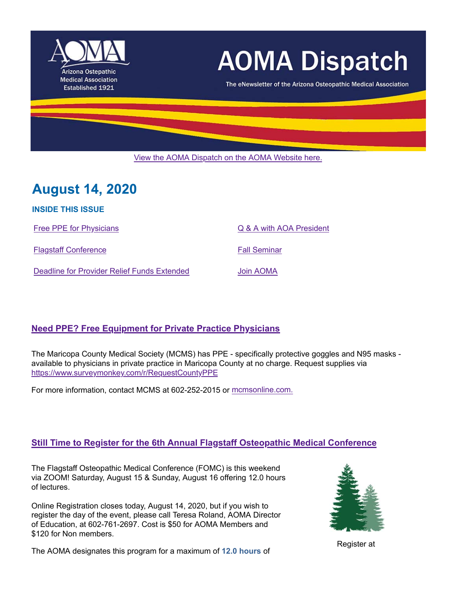

# **AOMA Dispatch**

The eNewsletter of the Arizona Osteopathic Medical Association

View the AOMA Dispatch on the AOMA Website here.

# **August 14, 2020**

**INSIDE THIS ISSUE**

Flagstaff Conference **Fall Seminar** Fall Seminar

Free PPE for Physicians **Free PPE** for Physicians **C** & A with AOA President

Deadline for Provider Relief Funds Extended Join AOMA

# **Need PPE? Free Equipment for Private Practice Physicians**

The Maricopa County Medical Society (MCMS) has PPE - specifically protective goggles and N95 masks available to physicians in private practice in Maricopa County at no charge. Request supplies via https://www.surveymonkey.com/r/RequestCountyPPE

For more information, contact MCMS at 602-252-2015 or mcmsonline.com.

# **Still Time to Register for the 6th Annual Flagstaff Osteopathic Medical Conference**

The Flagstaff Osteopathic Medical Conference (FOMC) is this weekend via ZOOM! Saturday, August 15 & Sunday, August 16 offering 12.0 hours of lectures.

Online Registration closes today, August 14, 2020, but if you wish to register the day of the event, please call Teresa Roland, AOMA Director of Education, at 602-761-2697. Cost is \$50 for AOMA Members and \$120 for Non members.



The AOMA designates this program for a maximum of 12.0 hours of Register at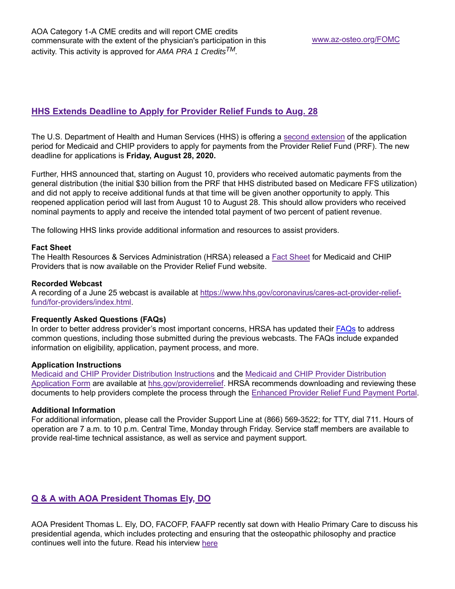## **HHS Extends Deadline to Apply for Provider Relief Funds to Aug. 28**

The U.S. Department of Health and Human Services (HHS) is offering a second extension of the application period for Medicaid and CHIP providers to apply for payments from the Provider Relief Fund (PRF). The new deadline for applications is **Friday, August 28, 2020.**

Further, HHS announced that, starting on August 10, providers who received automatic payments from the general distribution (the initial \$30 billion from the PRF that HHS distributed based on Medicare FFS utilization) and did not apply to receive additional funds at that time will be given another opportunity to apply. This reopened application period will last from August 10 to August 28. This should allow providers who received nominal payments to apply and receive the intended total payment of two percent of patient revenue.

The following HHS links provide additional information and resources to assist providers.

#### **Fact Sheet**

The Health Resources & Services Administration (HRSA) released a Fact Sheet for Medicaid and CHIP Providers that is now available on the Provider Relief Fund website.

#### **Recorded Webcast**

A recording of a June 25 webcast is available at https://www.hhs.gov/coronavirus/cares-act-provider-relieffund/for-providers/index.html.

#### **Frequently Asked Questions (FAQs)**

In order to better address provider's most important concerns, HRSA has updated their FAQs to address common questions, including those submitted during the previous webcasts. The FAQs include expanded information on eligibility, application, payment process, and more.

#### **Application Instructions**

Medicaid and CHIP Provider Distribution Instructions and the Medicaid and CHIP Provider Distribution Application Form are available at hhs.gov/providerrelief. HRSA recommends downloading and reviewing these documents to help providers complete the process through the Enhanced Provider Relief Fund Payment Portal.

#### **Additional Information**

For additional information, please call the Provider Support Line at (866) 569-3522; for TTY, dial 711. Hours of operation are 7 a.m. to 10 p.m. Central Time, Monday through Friday. Service staff members are available to provide real-time technical assistance, as well as service and payment support.

### **Q & A with AOA President Thomas Ely, DO**

AOA President Thomas L. Ely, DO, FACOFP, FAAFP recently sat down with Healio Primary Care to discuss his presidential agenda, which includes protecting and ensuring that the osteopathic philosophy and practice continues well into the future. Read his interview here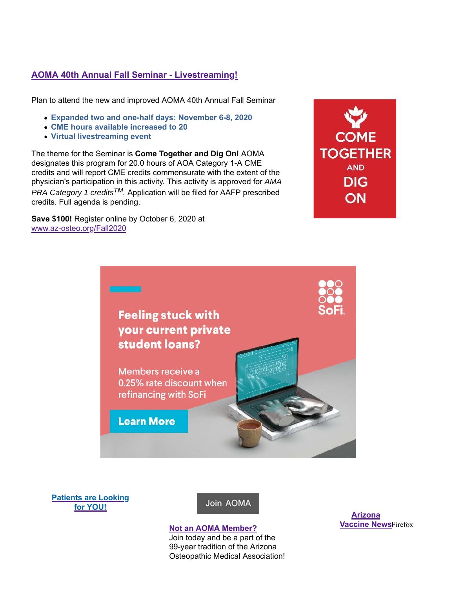# **AOMA 40th Annual Fall Seminar - Livestreaming!**

Plan to attend the new and improved AOMA 40th Annual Fall Seminar

- **Expanded two and one-half days: November 6-8, 2020**
- **CME hours available increased to 20**
- **Virtual livestreaming event**

The theme for the Seminar is **Come Together and Dig On!** AOMA designates this program for 20.0 hours of AOA Category 1-A CME credits and will report CME credits commensurate with the extent of the physician's participation in this activity. This activity is approved for *AMA PRA Category 1 creditsTM.* Application will be filed for AAFP prescribed credits. Full agenda is pending.

**Save \$100!** Register online by October 6, 2020 at www.az-osteo.org/Fall2020





**Patients are Looking for YOU!**

Join AOMA

#### **Not an AOMA Member?**

Join today and be a part of the 99-year tradition of the Arizona Osteopathic Medical Association!

**Arizona Vaccine NewsFirefox**